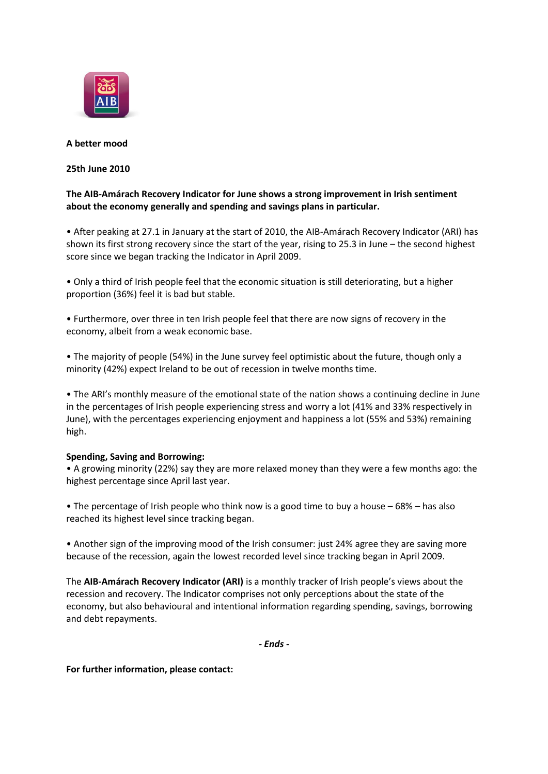

# **A better mood**

# **25th June 2010**

# **The AIB-Amárach Recovery Indicator for June shows a strong improvement in Irish sentiment about the economy generally and spending and savings plans in particular.**

• After peaking at 27.1 in January at the start of 2010, the AIB-Amárach Recovery Indicator (ARI) has shown its first strong recovery since the start of the year, rising to 25.3 in June – the second highest score since we began tracking the Indicator in April 2009.

• Only a third of Irish people feel that the economic situation is still deteriorating, but a higher proportion (36%) feel it is bad but stable.

• Furthermore, over three in ten Irish people feel that there are now signs of recovery in the economy, albeit from a weak economic base.

• The majority of people (54%) in the June survey feel optimistic about the future, though only a minority (42%) expect Ireland to be out of recession in twelve months time.

• The ARI's monthly measure of the emotional state of the nation shows a continuing decline in June in the percentages of Irish people experiencing stress and worry a lot (41% and 33% respectively in June), with the percentages experiencing enjoyment and happiness a lot (55% and 53%) remaining high.

### **Spending, Saving and Borrowing:**

• A growing minority (22%) say they are more relaxed money than they were a few months ago: the highest percentage since April last year.

• The percentage of Irish people who think now is a good time to buy a house – 68% – has also reached its highest level since tracking began.

• Another sign of the improving mood of the Irish consumer: just 24% agree they are saving more because of the recession, again the lowest recorded level since tracking began in April 2009.

The **AIB-Amárach Recovery Indicator (ARI)** is a monthly tracker of Irish people's views about the recession and recovery. The Indicator comprises not only perceptions about the state of the economy, but also behavioural and intentional information regarding spending, savings, borrowing and debt repayments.

*- Ends -*

**For further information, please contact:**